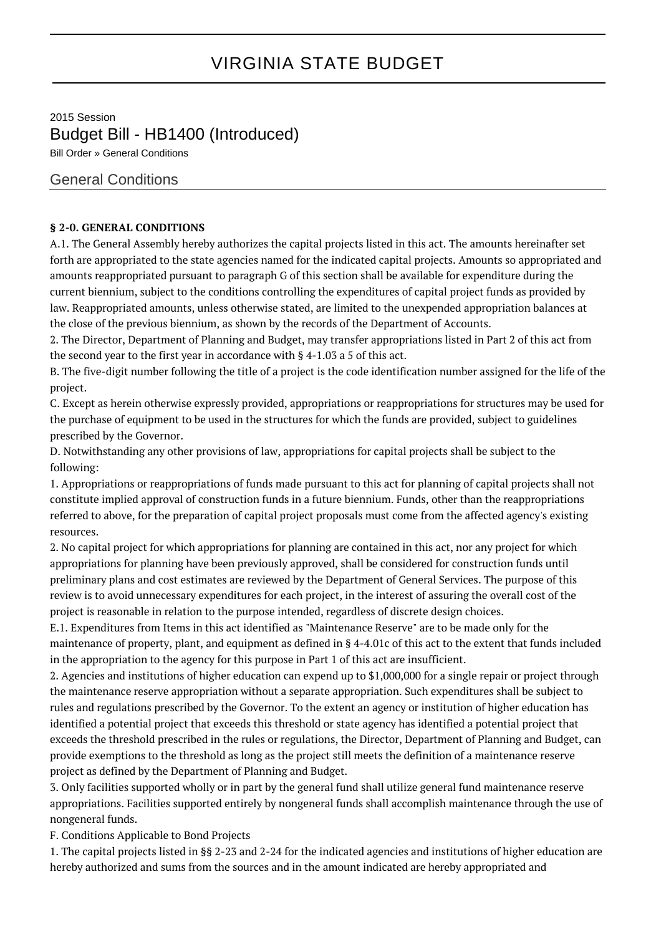# VIRGINIA STATE BUDGET

2015 Session Budget Bill - HB1400 (Introduced)

Bill Order » General Conditions

## General Conditions

#### **§ 2-0. GENERAL CONDITIONS**

A.1. The General Assembly hereby authorizes the capital projects listed in this act. The amounts hereinafter set forth are appropriated to the state agencies named for the indicated capital projects. Amounts so appropriated and amounts reappropriated pursuant to paragraph G of this section shall be available for expenditure during the current biennium, subject to the conditions controlling the expenditures of capital project funds as provided by law. Reappropriated amounts, unless otherwise stated, are limited to the unexpended appropriation balances at the close of the previous biennium, as shown by the records of the Department of Accounts.

2. The Director, Department of Planning and Budget, may transfer appropriations listed in Part 2 of this act from the second year to the first year in accordance with § 4-1.03 a 5 of this act.

B. The five-digit number following the title of a project is the code identification number assigned for the life of the project.

C. Except as herein otherwise expressly provided, appropriations or reappropriations for structures may be used for the purchase of equipment to be used in the structures for which the funds are provided, subject to guidelines prescribed by the Governor.

D. Notwithstanding any other provisions of law, appropriations for capital projects shall be subject to the following:

1. Appropriations or reappropriations of funds made pursuant to this act for planning of capital projects shall not constitute implied approval of construction funds in a future biennium. Funds, other than the reappropriations referred to above, for the preparation of capital project proposals must come from the affected agency's existing resources.

2. No capital project for which appropriations for planning are contained in this act, nor any project for which appropriations for planning have been previously approved, shall be considered for construction funds until preliminary plans and cost estimates are reviewed by the Department of General Services. The purpose of this review is to avoid unnecessary expenditures for each project, in the interest of assuring the overall cost of the project is reasonable in relation to the purpose intended, regardless of discrete design choices.

E.1. Expenditures from Items in this act identified as "Maintenance Reserve" are to be made only for the maintenance of property, plant, and equipment as defined in § 4-4.01c of this act to the extent that funds included in the appropriation to the agency for this purpose in Part 1 of this act are insufficient.

2. Agencies and institutions of higher education can expend up to \$1,000,000 for a single repair or project through the maintenance reserve appropriation without a separate appropriation. Such expenditures shall be subject to rules and regulations prescribed by the Governor. To the extent an agency or institution of higher education has identified a potential project that exceeds this threshold or state agency has identified a potential project that exceeds the threshold prescribed in the rules or regulations, the Director, Department of Planning and Budget, can provide exemptions to the threshold as long as the project still meets the definition of a maintenance reserve project as defined by the Department of Planning and Budget.

3. Only facilities supported wholly or in part by the general fund shall utilize general fund maintenance reserve appropriations. Facilities supported entirely by nongeneral funds shall accomplish maintenance through the use of nongeneral funds.

F. Conditions Applicable to Bond Projects

1. The capital projects listed in §§ 2-23 and 2-24 for the indicated agencies and institutions of higher education are hereby authorized and sums from the sources and in the amount indicated are hereby appropriated and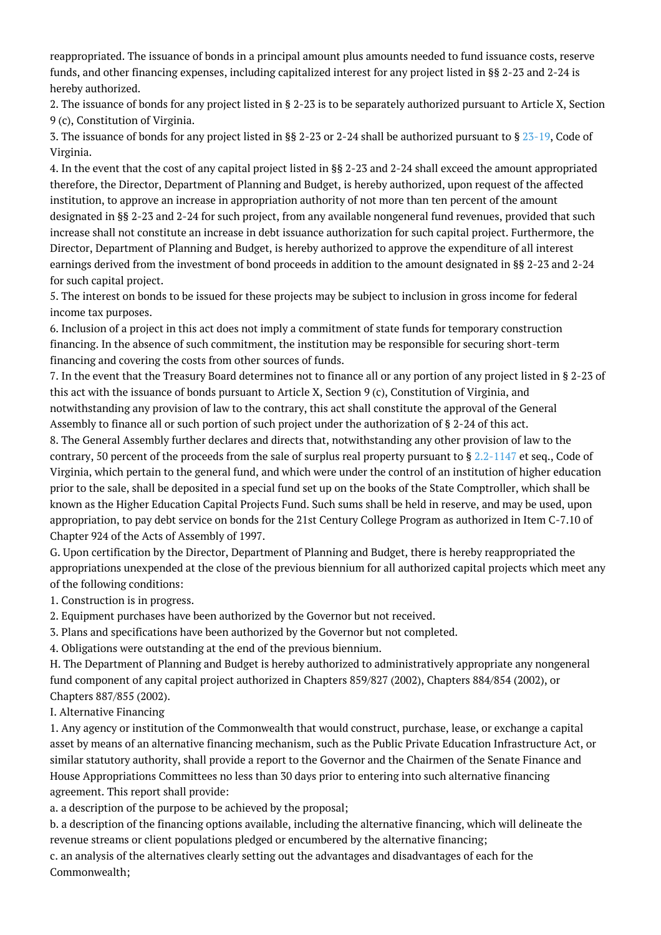reappropriated. The issuance of bonds in a principal amount plus amounts needed to fund issuance costs, reserve funds, and other financing expenses, including capitalized interest for any project listed in §§ 2-23 and 2-24 is hereby authorized.

2. The issuance of bonds for any project listed in § 2-23 is to be separately authorized pursuant to Article X, Section 9 (c), Constitution of Virginia.

3. The issuance of bonds for any project listed in §§ 2-23 or 2-24 shall be authorized pursuant to § [23-19](http://law.lis.virginia.gov/vacode/23-19/), Code of Virginia.

4. In the event that the cost of any capital project listed in §§ 2-23 and 2-24 shall exceed the amount appropriated therefore, the Director, Department of Planning and Budget, is hereby authorized, upon request of the affected institution, to approve an increase in appropriation authority of not more than ten percent of the amount designated in §§ 2-23 and 2-24 for such project, from any available nongeneral fund revenues, provided that such increase shall not constitute an increase in debt issuance authorization for such capital project. Furthermore, the Director, Department of Planning and Budget, is hereby authorized to approve the expenditure of all interest earnings derived from the investment of bond proceeds in addition to the amount designated in §§ 2-23 and 2-24 for such capital project.

5. The interest on bonds to be issued for these projects may be subject to inclusion in gross income for federal income tax purposes.

6. Inclusion of a project in this act does not imply a commitment of state funds for temporary construction financing. In the absence of such commitment, the institution may be responsible for securing short-term financing and covering the costs from other sources of funds.

7. In the event that the Treasury Board determines not to finance all or any portion of any project listed in § 2-23 of this act with the issuance of bonds pursuant to Article X, Section 9 (c), Constitution of Virginia, and notwithstanding any provision of law to the contrary, this act shall constitute the approval of the General Assembly to finance all or such portion of such project under the authorization of § 2-24 of this act.

8. The General Assembly further declares and directs that, notwithstanding any other provision of law to the contrary, 50 percent of the proceeds from the sale of surplus real property pursuant to  $\S 2.2$ -1147 et seq., Code of Virginia, which pertain to the general fund, and which were under the control of an institution of higher education prior to the sale, shall be deposited in a special fund set up on the books of the State Comptroller, which shall be known as the Higher Education Capital Projects Fund. Such sums shall be held in reserve, and may be used, upon appropriation, to pay debt service on bonds for the 21st Century College Program as authorized in Item C-7.10 of Chapter 924 of the Acts of Assembly of 1997.

G. Upon certification by the Director, Department of Planning and Budget, there is hereby reappropriated the appropriations unexpended at the close of the previous biennium for all authorized capital projects which meet any of the following conditions:

1. Construction is in progress.

2. Equipment purchases have been authorized by the Governor but not received.

3. Plans and specifications have been authorized by the Governor but not completed.

4. Obligations were outstanding at the end of the previous biennium.

H. The Department of Planning and Budget is hereby authorized to administratively appropriate any nongeneral fund component of any capital project authorized in Chapters 859/827 (2002), Chapters 884/854 (2002), or Chapters 887/855 (2002).

I. Alternative Financing

1. Any agency or institution of the Commonwealth that would construct, purchase, lease, or exchange a capital asset by means of an alternative financing mechanism, such as the Public Private Education Infrastructure Act, or similar statutory authority, shall provide a report to the Governor and the Chairmen of the Senate Finance and House Appropriations Committees no less than 30 days prior to entering into such alternative financing agreement. This report shall provide:

a. a description of the purpose to be achieved by the proposal;

b. a description of the financing options available, including the alternative financing, which will delineate the revenue streams or client populations pledged or encumbered by the alternative financing;

c. an analysis of the alternatives clearly setting out the advantages and disadvantages of each for the Commonwealth;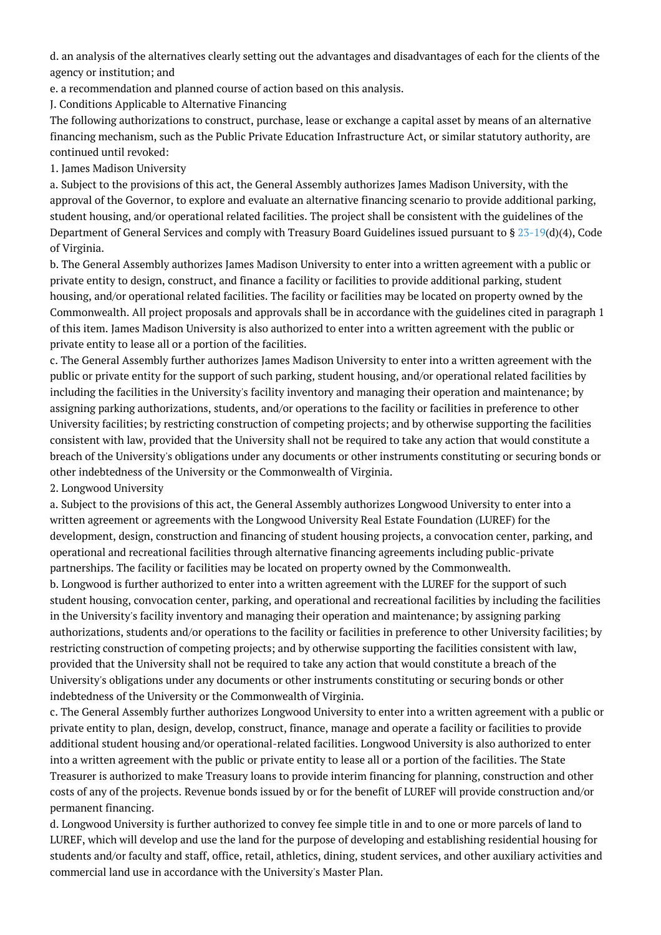d. an analysis of the alternatives clearly setting out the advantages and disadvantages of each for the clients of the agency or institution; and

e. a recommendation and planned course of action based on this analysis.

J. Conditions Applicable to Alternative Financing

The following authorizations to construct, purchase, lease or exchange a capital asset by means of an alternative financing mechanism, such as the Public Private Education Infrastructure Act, or similar statutory authority, are continued until revoked:

1. James Madison University

a. Subject to the provisions of this act, the General Assembly authorizes James Madison University, with the approval of the Governor, to explore and evaluate an alternative financing scenario to provide additional parking, student housing, and/or operational related facilities. The project shall be consistent with the guidelines of the Department of General Services and comply with Treasury Board Guidelines issued pursuant to § [23-19](http://law.lis.virginia.gov/vacode/23-19/)(d)(4), Code of Virginia.

b. The General Assembly authorizes James Madison University to enter into a written agreement with a public or private entity to design, construct, and finance a facility or facilities to provide additional parking, student housing, and/or operational related facilities. The facility or facilities may be located on property owned by the Commonwealth. All project proposals and approvals shall be in accordance with the guidelines cited in paragraph 1 of this item. James Madison University is also authorized to enter into a written agreement with the public or private entity to lease all or a portion of the facilities.

c. The General Assembly further authorizes James Madison University to enter into a written agreement with the public or private entity for the support of such parking, student housing, and/or operational related facilities by including the facilities in the University's facility inventory and managing their operation and maintenance; by assigning parking authorizations, students, and/or operations to the facility or facilities in preference to other University facilities; by restricting construction of competing projects; and by otherwise supporting the facilities consistent with law, provided that the University shall not be required to take any action that would constitute a breach of the University's obligations under any documents or other instruments constituting or securing bonds or other indebtedness of the University or the Commonwealth of Virginia.

### 2. Longwood University

a. Subject to the provisions of this act, the General Assembly authorizes Longwood University to enter into a written agreement or agreements with the Longwood University Real Estate Foundation (LUREF) for the development, design, construction and financing of student housing projects, a convocation center, parking, and operational and recreational facilities through alternative financing agreements including public-private partnerships. The facility or facilities may be located on property owned by the Commonwealth.

b. Longwood is further authorized to enter into a written agreement with the LUREF for the support of such student housing, convocation center, parking, and operational and recreational facilities by including the facilities in the University's facility inventory and managing their operation and maintenance; by assigning parking authorizations, students and/or operations to the facility or facilities in preference to other University facilities; by restricting construction of competing projects; and by otherwise supporting the facilities consistent with law, provided that the University shall not be required to take any action that would constitute a breach of the University's obligations under any documents or other instruments constituting or securing bonds or other indebtedness of the University or the Commonwealth of Virginia.

c. The General Assembly further authorizes Longwood University to enter into a written agreement with a public or private entity to plan, design, develop, construct, finance, manage and operate a facility or facilities to provide additional student housing and/or operational-related facilities. Longwood University is also authorized to enter into a written agreement with the public or private entity to lease all or a portion of the facilities. The State Treasurer is authorized to make Treasury loans to provide interim financing for planning, construction and other costs of any of the projects. Revenue bonds issued by or for the benefit of LUREF will provide construction and/or permanent financing.

d. Longwood University is further authorized to convey fee simple title in and to one or more parcels of land to LUREF, which will develop and use the land for the purpose of developing and establishing residential housing for students and/or faculty and staff, office, retail, athletics, dining, student services, and other auxiliary activities and commercial land use in accordance with the University's Master Plan.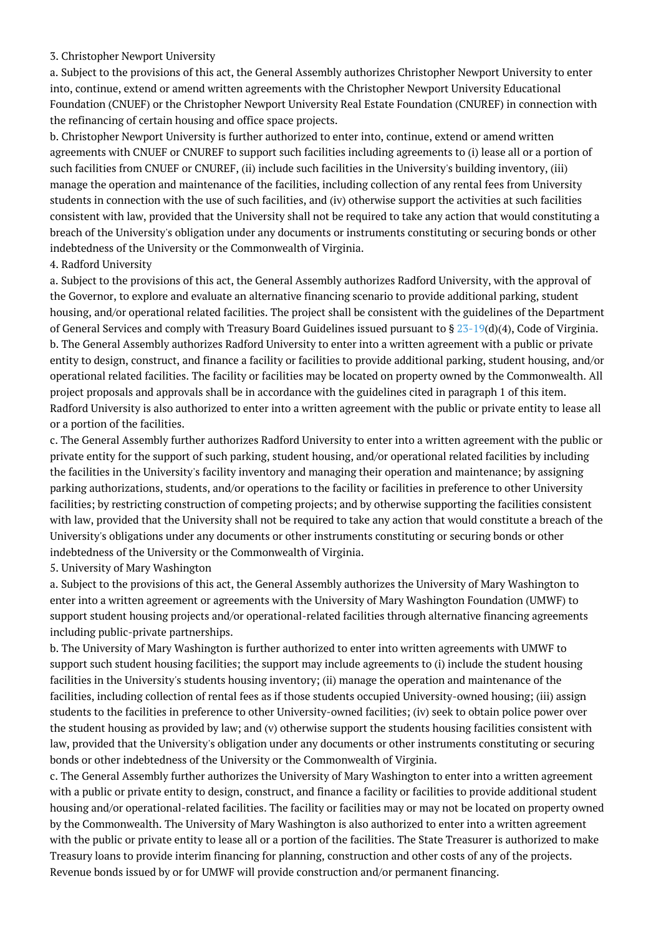#### 3. Christopher Newport University

a. Subject to the provisions of this act, the General Assembly authorizes Christopher Newport University to enter into, continue, extend or amend written agreements with the Christopher Newport University Educational Foundation (CNUEF) or the Christopher Newport University Real Estate Foundation (CNUREF) in connection with the refinancing of certain housing and office space projects.

b. Christopher Newport University is further authorized to enter into, continue, extend or amend written agreements with CNUEF or CNUREF to support such facilities including agreements to (i) lease all or a portion of such facilities from CNUEF or CNUREF, (ii) include such facilities in the University's building inventory, (iii) manage the operation and maintenance of the facilities, including collection of any rental fees from University students in connection with the use of such facilities, and (iv) otherwise support the activities at such facilities consistent with law, provided that the University shall not be required to take any action that would constituting a breach of the University's obligation under any documents or instruments constituting or securing bonds or other indebtedness of the University or the Commonwealth of Virginia.

4. Radford University

a. Subject to the provisions of this act, the General Assembly authorizes Radford University, with the approval of the Governor, to explore and evaluate an alternative financing scenario to provide additional parking, student housing, and/or operational related facilities. The project shall be consistent with the guidelines of the Department of General Services and comply with Treasury Board Guidelines issued pursuant to §  $23-19(d)(4)$  $23-19(d)(4)$ , Code of Virginia. b. The General Assembly authorizes Radford University to enter into a written agreement with a public or private entity to design, construct, and finance a facility or facilities to provide additional parking, student housing, and/or operational related facilities. The facility or facilities may be located on property owned by the Commonwealth. All project proposals and approvals shall be in accordance with the guidelines cited in paragraph 1 of this item. Radford University is also authorized to enter into a written agreement with the public or private entity to lease all or a portion of the facilities.

c. The General Assembly further authorizes Radford University to enter into a written agreement with the public or private entity for the support of such parking, student housing, and/or operational related facilities by including the facilities in the University's facility inventory and managing their operation and maintenance; by assigning parking authorizations, students, and/or operations to the facility or facilities in preference to other University facilities; by restricting construction of competing projects; and by otherwise supporting the facilities consistent with law, provided that the University shall not be required to take any action that would constitute a breach of the University's obligations under any documents or other instruments constituting or securing bonds or other indebtedness of the University or the Commonwealth of Virginia.

5. University of Mary Washington

a. Subject to the provisions of this act, the General Assembly authorizes the University of Mary Washington to enter into a written agreement or agreements with the University of Mary Washington Foundation (UMWF) to support student housing projects and/or operational-related facilities through alternative financing agreements including public-private partnerships.

b. The University of Mary Washington is further authorized to enter into written agreements with UMWF to support such student housing facilities; the support may include agreements to (i) include the student housing facilities in the University's students housing inventory; (ii) manage the operation and maintenance of the facilities, including collection of rental fees as if those students occupied University-owned housing; (iii) assign students to the facilities in preference to other University-owned facilities; (iv) seek to obtain police power over the student housing as provided by law; and (v) otherwise support the students housing facilities consistent with law, provided that the University's obligation under any documents or other instruments constituting or securing bonds or other indebtedness of the University or the Commonwealth of Virginia.

c. The General Assembly further authorizes the University of Mary Washington to enter into a written agreement with a public or private entity to design, construct, and finance a facility or facilities to provide additional student housing and/or operational-related facilities. The facility or facilities may or may not be located on property owned by the Commonwealth. The University of Mary Washington is also authorized to enter into a written agreement with the public or private entity to lease all or a portion of the facilities. The State Treasurer is authorized to make Treasury loans to provide interim financing for planning, construction and other costs of any of the projects. Revenue bonds issued by or for UMWF will provide construction and/or permanent financing.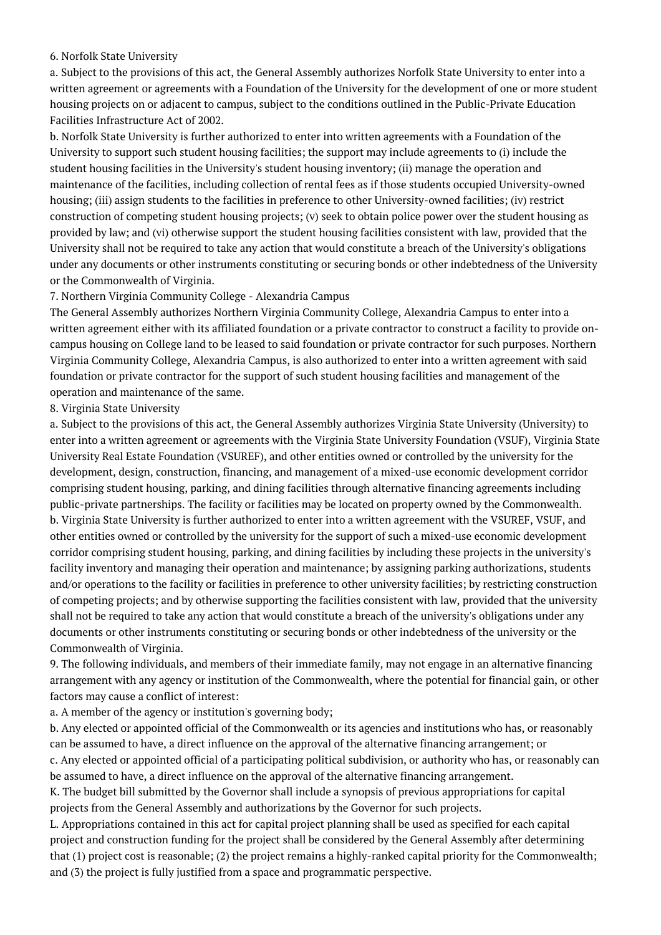#### 6. Norfolk State University

a. Subject to the provisions of this act, the General Assembly authorizes Norfolk State University to enter into a written agreement or agreements with a Foundation of the University for the development of one or more student housing projects on or adjacent to campus, subject to the conditions outlined in the Public-Private Education Facilities Infrastructure Act of 2002.

b. Norfolk State University is further authorized to enter into written agreements with a Foundation of the University to support such student housing facilities; the support may include agreements to (i) include the student housing facilities in the University's student housing inventory; (ii) manage the operation and maintenance of the facilities, including collection of rental fees as if those students occupied University-owned housing; (iii) assign students to the facilities in preference to other University-owned facilities; (iv) restrict construction of competing student housing projects; (v) seek to obtain police power over the student housing as provided by law; and (vi) otherwise support the student housing facilities consistent with law, provided that the University shall not be required to take any action that would constitute a breach of the University's obligations under any documents or other instruments constituting or securing bonds or other indebtedness of the University or the Commonwealth of Virginia.

#### 7. Northern Virginia Community College - Alexandria Campus

The General Assembly authorizes Northern Virginia Community College, Alexandria Campus to enter into a written agreement either with its affiliated foundation or a private contractor to construct a facility to provide oncampus housing on College land to be leased to said foundation or private contractor for such purposes. Northern Virginia Community College, Alexandria Campus, is also authorized to enter into a written agreement with said foundation or private contractor for the support of such student housing facilities and management of the operation and maintenance of the same.

#### 8. Virginia State University

a. Subject to the provisions of this act, the General Assembly authorizes Virginia State University (University) to enter into a written agreement or agreements with the Virginia State University Foundation (VSUF), Virginia State University Real Estate Foundation (VSUREF), and other entities owned or controlled by the university for the development, design, construction, financing, and management of a mixed-use economic development corridor comprising student housing, parking, and dining facilities through alternative financing agreements including public-private partnerships. The facility or facilities may be located on property owned by the Commonwealth. b. Virginia State University is further authorized to enter into a written agreement with the VSUREF, VSUF, and other entities owned or controlled by the university for the support of such a mixed-use economic development corridor comprising student housing, parking, and dining facilities by including these projects in the university's facility inventory and managing their operation and maintenance; by assigning parking authorizations, students and/or operations to the facility or facilities in preference to other university facilities; by restricting construction of competing projects; and by otherwise supporting the facilities consistent with law, provided that the university shall not be required to take any action that would constitute a breach of the university's obligations under any documents or other instruments constituting or securing bonds or other indebtedness of the university or the Commonwealth of Virginia.

9. The following individuals, and members of their immediate family, may not engage in an alternative financing arrangement with any agency or institution of the Commonwealth, where the potential for financial gain, or other factors may cause a conflict of interest:

a. A member of the agency or institution's governing body;

b. Any elected or appointed official of the Commonwealth or its agencies and institutions who has, or reasonably can be assumed to have, a direct influence on the approval of the alternative financing arrangement; or c. Any elected or appointed official of a participating political subdivision, or authority who has, or reasonably can

be assumed to have, a direct influence on the approval of the alternative financing arrangement.

K. The budget bill submitted by the Governor shall include a synopsis of previous appropriations for capital projects from the General Assembly and authorizations by the Governor for such projects.

L. Appropriations contained in this act for capital project planning shall be used as specified for each capital project and construction funding for the project shall be considered by the General Assembly after determining that (1) project cost is reasonable; (2) the project remains a highly-ranked capital priority for the Commonwealth; and (3) the project is fully justified from a space and programmatic perspective.